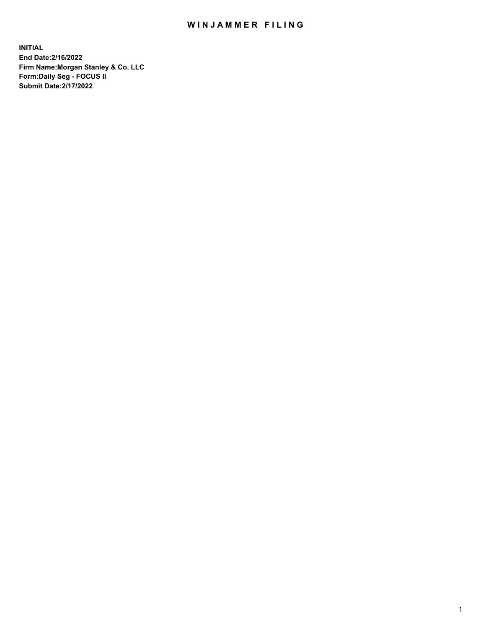## WIN JAMMER FILING

**INITIAL End Date:2/16/2022 Firm Name:Morgan Stanley & Co. LLC Form:Daily Seg - FOCUS II Submit Date:2/17/2022**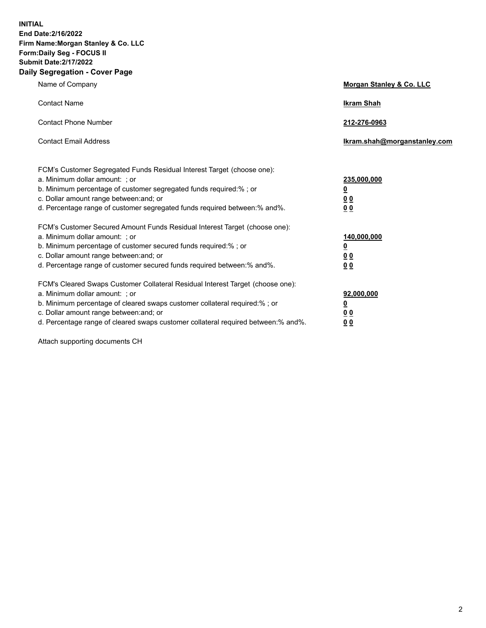**INITIAL End Date:2/16/2022 Firm Name:Morgan Stanley & Co. LLC Form:Daily Seg - FOCUS II Submit Date:2/17/2022 Daily Segregation - Cover Page**

| Name of Company                                                                                                                                                                                                                                                                                                                | Morgan Stanley & Co. LLC                               |
|--------------------------------------------------------------------------------------------------------------------------------------------------------------------------------------------------------------------------------------------------------------------------------------------------------------------------------|--------------------------------------------------------|
| <b>Contact Name</b>                                                                                                                                                                                                                                                                                                            | <b>Ikram Shah</b>                                      |
| <b>Contact Phone Number</b>                                                                                                                                                                                                                                                                                                    | 212-276-0963                                           |
| <b>Contact Email Address</b>                                                                                                                                                                                                                                                                                                   | Ikram.shah@morganstanley.com                           |
| FCM's Customer Segregated Funds Residual Interest Target (choose one):<br>a. Minimum dollar amount: ; or<br>b. Minimum percentage of customer segregated funds required:% ; or<br>c. Dollar amount range between: and; or<br>d. Percentage range of customer segregated funds required between:% and%.                         | 235,000,000<br><u>0</u><br>0 <sup>0</sup><br><u>00</u> |
| FCM's Customer Secured Amount Funds Residual Interest Target (choose one):<br>a. Minimum dollar amount: ; or<br>b. Minimum percentage of customer secured funds required:% ; or<br>c. Dollar amount range between: and; or<br>d. Percentage range of customer secured funds required between:% and%.                           | 140,000,000<br><u>0</u><br><u>00</u><br>00             |
| FCM's Cleared Swaps Customer Collateral Residual Interest Target (choose one):<br>a. Minimum dollar amount: ; or<br>b. Minimum percentage of cleared swaps customer collateral required:% ; or<br>c. Dollar amount range between: and; or<br>d. Percentage range of cleared swaps customer collateral required between:% and%. | 92,000,000<br><u>0</u><br><u>00</u><br>00              |

Attach supporting documents CH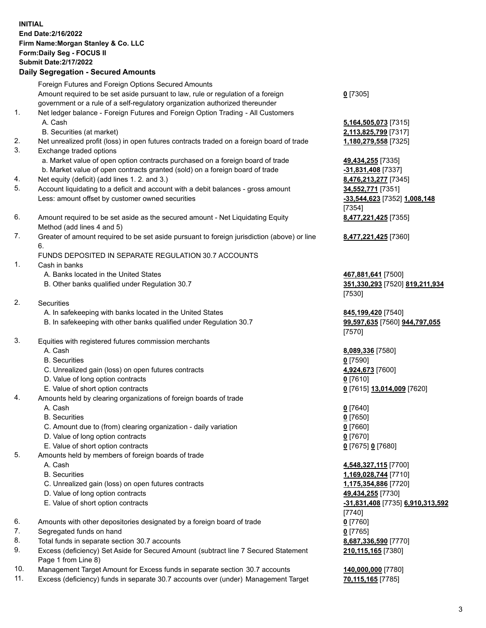## **INITIAL End Date:2/16/2022 Firm Name:Morgan Stanley & Co. LLC Form:Daily Seg - FOCUS II Submit Date:2/17/2022 Daily Segregation - Secured Amounts** Foreign Futures and Foreign Options Secured Amounts Amount required to be set aside pursuant to law, rule or regulation of a foreign government or a rule of a self-regulatory organization authorized thereunder 1. Net ledger balance - Foreign Futures and Foreign Option Trading - All Customers A. Cash **5,164,505,073** [7315] B. Securities (at market) **2,113,825,799** [7317] 2. Net unrealized profit (loss) in open futures contracts traded on a foreign board of trade **1,180,279,558** [7325] 3. Exchange traded options a. Market value of open option contracts purchased on a foreign board of trade **49,434,255** [7335] b. Market value of open contracts granted (sold) on a foreign board of trade **-31,831,408** [7337] 4. Net equity (deficit) (add lines 1. 2. and 3.) **8,476,213,277** [7345] 5. Account liquidating to a deficit and account with a debit balances - gross amount **34,552,771** [7351] Less: amount offset by customer owned securities **-33,544,623** [7352] **1,008,148** 6. Amount required to be set aside as the secured amount - Net Liquidating Equity Method (add lines 4 and 5) 7. Greater of amount required to be set aside pursuant to foreign jurisdiction (above) or line 6. FUNDS DEPOSITED IN SEPARATE REGULATION 30.7 ACCOUNTS 1. Cash in banks A. Banks located in the United States **467,881,641** [7500] B. Other banks qualified under Regulation 30.7 **351,330,293** [7520] **819,211,934** 2. Securities A. In safekeeping with banks located in the United States **845,199,420** [7540] B. In safekeeping with other banks qualified under Regulation 30.7 **99,597,635** [7560] **944,797,055** 3. Equities with registered futures commission merchants A. Cash **8,089,336** [7580] B. Securities **0** [7590] C. Unrealized gain (loss) on open futures contracts **4,924,673** [7600] D. Value of long option contracts **0** [7610]

- 
- 4. Amounts held by clearing organizations of foreign boards of trade
	- A. Cash **0** [7640]
	- B. Securities **0** [7650]
	- C. Amount due to (from) clearing organization daily variation **0** [7660]
	- D. Value of long option contracts **0** [7670]
	- E. Value of short option contracts **0** [7675] **0** [7680]
- 5. Amounts held by members of foreign boards of trade
	-
	-
	- C. Unrealized gain (loss) on open futures contracts **1,175,354,886** [7720]
	- D. Value of long option contracts **49,434,255** [7730]
	-
- 6. Amounts with other depositories designated by a foreign board of trade **0** [7760]
- 7. Segregated funds on hand **0** [7765]
- 8. Total funds in separate section 30.7 accounts **8,687,336,590** [7770]
- 9. Excess (deficiency) Set Aside for Secured Amount (subtract line 7 Secured Statement Page 1 from Line 8)
- 10. Management Target Amount for Excess funds in separate section 30.7 accounts **140,000,000** [7780]
- 11. Excess (deficiency) funds in separate 30.7 accounts over (under) Management Target **70,115,165** [7785]

[7354] **8,477,221,425** [7355]

**0** [7305]

**8,477,221,425** [7360]

[7530]

[7570]

E. Value of short option contracts **0** [7615] **13,014,009** [7620]

 A. Cash **4,548,327,115** [7700] B. Securities **1,169,028,744** [7710] E. Value of short option contracts **-31,831,408** [7735] **6,910,313,592** [7740] **210,115,165** [7380]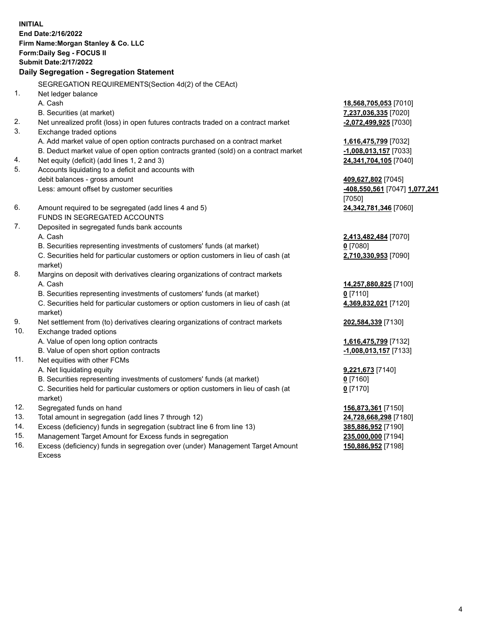**INITIAL End Date:2/16/2022 Firm Name:Morgan Stanley & Co. LLC Form:Daily Seg - FOCUS II Submit Date:2/17/2022 Daily Segregation - Segregation Statement** SEGREGATION REQUIREMENTS(Section 4d(2) of the CEAct) 1. Net ledger balance A. Cash **18,568,705,053** [7010] B. Securities (at market) **7,237,036,335** [7020] 2. Net unrealized profit (loss) in open futures contracts traded on a contract market **-2,072,499,925** [7030] 3. Exchange traded options A. Add market value of open option contracts purchased on a contract market **1,616,475,799** [7032] B. Deduct market value of open option contracts granted (sold) on a contract market **-1,008,013,157** [7033] 4. Net equity (deficit) (add lines 1, 2 and 3) **24,341,704,105** [7040] 5. Accounts liquidating to a deficit and accounts with debit balances - gross amount **409,627,802** [7045] Less: amount offset by customer securities **-408,550,561** [7047] **1,077,241** [7050] 6. Amount required to be segregated (add lines 4 and 5) **24,342,781,346** [7060] FUNDS IN SEGREGATED ACCOUNTS 7. Deposited in segregated funds bank accounts A. Cash **2,413,482,484** [7070] B. Securities representing investments of customers' funds (at market) **0** [7080] C. Securities held for particular customers or option customers in lieu of cash (at market) **2,710,330,953** [7090] 8. Margins on deposit with derivatives clearing organizations of contract markets A. Cash **14,257,880,825** [7100] B. Securities representing investments of customers' funds (at market) **0** [7110] C. Securities held for particular customers or option customers in lieu of cash (at market) **4,369,832,021** [7120] 9. Net settlement from (to) derivatives clearing organizations of contract markets **202,584,339** [7130] 10. Exchange traded options A. Value of open long option contracts **1,616,475,799** [7132] B. Value of open short option contracts **and the set of our original state of the set of open** short option contracts 11. Net equities with other FCMs A. Net liquidating equity **9,221,673** [7140] B. Securities representing investments of customers' funds (at market) **0** [7160] C. Securities held for particular customers or option customers in lieu of cash (at market) **0** [7170] 12. Segregated funds on hand **156,873,361** [7150] 13. Total amount in segregation (add lines 7 through 12) **24,728,668,298** [7180] 14. Excess (deficiency) funds in segregation (subtract line 6 from line 13) **385,886,952** [7190] 15. Management Target Amount for Excess funds in segregation **235,000,000** [7194]

16. Excess (deficiency) funds in segregation over (under) Management Target Amount Excess

4

**150,886,952** [7198]